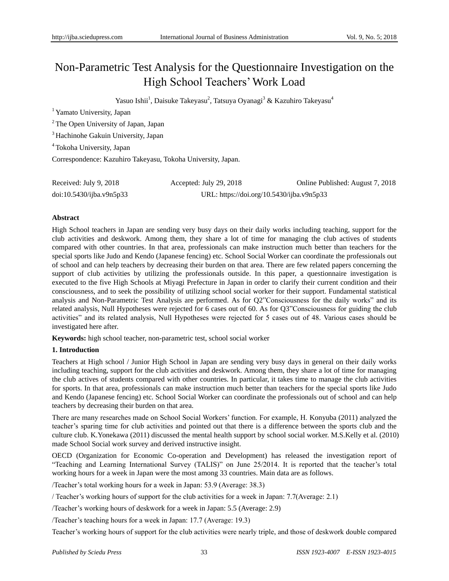# Non-Parametric Test Analysis for the Questionnaire Investigation on the High School Teachers'Work Load

Yasuo Ishii<sup>1</sup>, Daisuke Takeyasu<sup>2</sup>, Tatsuya Oyanagi<sup>3</sup> & Kazuhiro Takeyasu<sup>4</sup>

<sup>1</sup> Yamato University, Japan

<sup>2</sup>The Open University of Japan, Japan

<sup>3</sup> Hachinohe Gakuin University, Japan

<sup>4</sup>Tokoha University, Japan

Correspondence: Kazuhiro Takeyasu, Tokoha University, Japan.

| Received: July 9, 2018   | Accepted: July 29, 2018                   | Online Published: August 7, 2018 |
|--------------------------|-------------------------------------------|----------------------------------|
| doi:10.5430/ijba.v9n5p33 | URL: https://doi.org/10.5430/ijba.v9n5p33 |                                  |

### **Abstract**

High School teachers in Japan are sending very busy days on their daily works including teaching, support for the club activities and deskwork. Among them, they share a lot of time for managing the club actives of students compared with other countries. In that area, professionals can make instruction much better than teachers for the special sports like Judo and Kendo (Japanese fencing) etc. School Social Worker can coordinate the professionals out of school and can help teachers by decreasing their burden on that area. There are few related papers concerning the support of club activities by utilizing the professionals outside. In this paper, a questionnaire investigation is executed to the five High Schools at Miyagi Prefecture in Japan in order to clarify their current condition and their consciousness, and to seek the possibility of utilizing school social worker for their support. Fundamental statistical analysis and Non-Parametric Test Analysis are performed. As for Q2"Consciousness for the daily works" and its related analysis, Null Hypotheses were rejected for 6 cases out of 60. As for Q3"Consciousness for guiding the club activities" and its related analysis, Null Hypotheses were rejected for 5 cases out of 48. Various cases should be investigated here after.

**Keywords:** high school teacher, non-parametric test, school social worker

### **1. Introduction**

Teachers at High school / Junior High School in Japan are sending very busy days in general on their daily works including teaching, support for the club activities and deskwork. Among them, they share a lot of time for managing the club actives of students compared with other countries. In particular, it takes time to manage the club activities for sports. In that area, professionals can make instruction much better than teachers for the special sports like Judo and Kendo (Japanese fencing) etc. School Social Worker can coordinate the professionals out of school and can help teachers by decreasing their burden on that area.

There are many researches made on School Social Workers' function. For example, H. Konyuba (2011) analyzed the teacher's sparing time for club activities and pointed out that there is a difference between the sports club and the culture club. K.Yonekawa (2011) discussed the mental health support by school social worker. M.S.Kelly et al. (2010) made School Social work survey and derived instructive insight.

OECD (Organization for Economic Co-operation and Development) has released the investigation report of "Teaching and Learning International Survey (TALIS)" on June 25/2014. It is reported that the teacher's total working hours for a week in Japan were the most among 33 countries. Main data are as follows.

/Teacher's total working hours for a week in Japan: 53.9 (Average: 38.3)

/ Teacher's working hours of support for the club activities for a week in Japan: 7.7(Average: 2.1)

/Teacher's working hours of deskwork for a week in Japan: 5.5 (Average: 2.9)

/Teacher's teaching hours for a week in Japan: 17.7 (Average: 19.3)

Teacher's working hours of support for the club activities were nearly triple, and those of deskwork double compared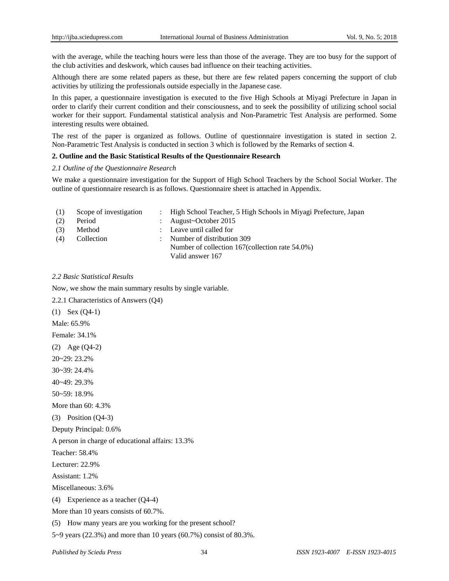with the average, while the teaching hours were less than those of the average. They are too busy for the support of the club activities and deskwork, which causes bad influence on their teaching activities.

Although there are some related papers as these, but there are few related papers concerning the support of club activities by utilizing the professionals outside especially in the Japanese case.

In this paper, a questionnaire investigation is executed to the five High Schools at Miyagi Prefecture in Japan in order to clarify their current condition and their consciousness, and to seek the possibility of utilizing school social worker for their support. Fundamental statistical analysis and Non-Parametric Test Analysis are performed. Some interesting results were obtained.

The rest of the paper is organized as follows. Outline of questionnaire investigation is stated in section 2. Non-Parametric Test Analysis is conducted in section 3 which is followed by the Remarks of section 4.

#### **2. Outline and the Basic Statistical Results of the Questionnaire Research**

#### *2.1 Outline of the Questionnaire Research*

We make a questionnaire investigation for the Support of High School Teachers by the School Social Worker. The outline of questionnaire research is as follows. Questionnaire sheet is attached in Appendix.

| (1) | Scope of investigation | : High School Teacher, 5 High Schools in Miyagi Prefecture, Japan |
|-----|------------------------|-------------------------------------------------------------------|
| (2) | Period                 | : August~October 2015                                             |
| (3) | Method                 | $\therefore$ Leave until called for                               |
| (4) | Collection             | : Number of distribution $309$                                    |
|     |                        | Number of collection 167 (collection rate 54.0%)                  |
|     |                        | Valid answer 167                                                  |
|     |                        |                                                                   |

### *2.2 Basic Statistical Results*

Now, we show the main summary results by single variable.

2.2.1 Characteristics of Answers (Q4)

(1) Sex (Q4-1)

Male: 65.9%

Female: 34.1%

(2) Age (Q4-2)

20~29: 23.2%

30~39: 24.4%

40~49: 29.3%

50~59: 18.9%

More than 60: 4.3%

(3) Position (Q4-3)

Deputy Principal: 0.6%

A person in charge of educational affairs: 13.3%

Teacher: 58.4%

Lecturer: 22.9%

Assistant: 1.2%

Miscellaneous: 3.6%

(4) Experience as a teacher (Q4-4)

More than 10 years consists of 60.7%.

(5) How many years are you working for the present school?

5~9 years (22.3%) and more than 10 years (60.7%) consist of 80.3%.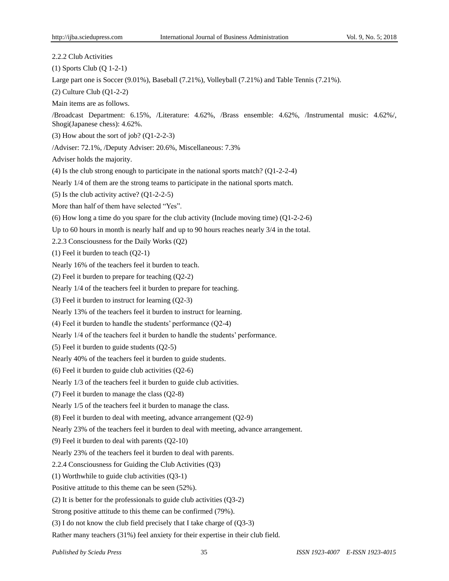2.2.2 Club Activities

(1) Sports Club (Q 1-2-1)

Large part one is Soccer (9.01%), Baseball (7.21%), Volleyball (7.21%) and Table Tennis (7.21%).

(2) Culture Club (Q1-2-2)

Main items are as follows.

/Broadcast Department: 6.15%, /Literature: 4.62%, /Brass ensemble: 4.62%, /Instrumental music: 4.62%/, Shogi(Japanese chess): 4.62%.

(3) How about the sort of job? (Q1-2-2-3)

/Adviser: 72.1%, /Deputy Adviser: 20.6%, Miscellaneous: 7.3%

Adviser holds the majority.

(4) Is the club strong enough to participate in the national sports match? (Q1-2-2-4)

Nearly 1/4 of them are the strong teams to participate in the national sports match.

(5) Is the club activity active? (Q1-2-2-5)

More than half of them have selected "Yes".

(6) How long a time do you spare for the club activity (Include moving time) (Q1-2-2-6)

Up to 60 hours in month is nearly half and up to 90 hours reaches nearly  $3/4$  in the total.

2.2.3 Consciousness for the Daily Works (Q2)

(1) Feel it burden to teach (Q2-1)

Nearly 16% of the teachers feel it burden to teach.

(2) Feel it burden to prepare for teaching (Q2-2)

Nearly 1/4 of the teachers feel it burden to prepare for teaching.

(3) Feel it burden to instruct for learning (Q2-3)

Nearly 13% of the teachers feel it burden to instruct for learning.

(4) Feel it burden to handle the students' performance (Q2-4)

Nearly 1/4 of the teachers feel it burden to handle the students' performance.

(5) Feel it burden to guide students (Q2-5)

Nearly 40% of the teachers feel it burden to guide students.

(6) Feel it burden to guide club activities (Q2-6)

Nearly 1/3 of the teachers feel it burden to guide club activities.

(7) Feel it burden to manage the class (Q2-8)

Nearly 1/5 of the teachers feel it burden to manage the class.

(8) Feel it burden to deal with meeting, advance arrangement (Q2-9)

Nearly 23% of the teachers feel it burden to deal with meeting, advance arrangement.

(9) Feel it burden to deal with parents (Q2-10)

Nearly 23% of the teachers feel it burden to deal with parents.

2.2.4 Consciousness for Guiding the Club Activities (Q3)

(1) Worthwhile to guide club activities (Q3-1)

Positive attitude to this theme can be seen (52%).

(2) It is better for the professionals to guide club activities (Q3-2)

Strong positive attitude to this theme can be confirmed (79%).

(3) I do not know the club field precisely that I take charge of (Q3-3)

Rather many teachers (31%) feel anxiety for their expertise in their club field.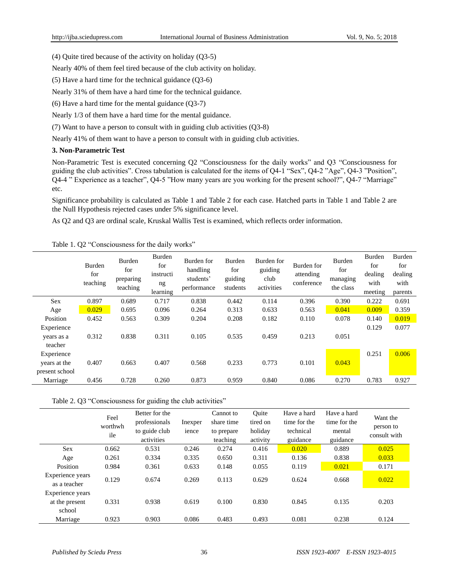(4) Quite tired because of the activity on holiday (Q3-5)

Nearly 40% of them feel tired because of the club activity on holiday.

(5) Have a hard time for the technical guidance (Q3-6)

Nearly 31% of them have a hard time for the technical guidance.

(6) Have a hard time for the mental guidance (Q3-7)

Nearly 1/3 of them have a hard time for the mental guidance.

(7) Want to have a person to consult with in guiding club activities (Q3-8)

Nearly 41% of them want to have a person to consult with in guiding club activities.

### **3. Non-Parametric Test**

Non-Parametric Test is executed concerning Q2 "Consciousness for the daily works" and Q3 "Consciousness for guiding the club activities". Cross tabulation is calculated for the items of Q4-1 "Sex", Q4-2 "Age", Q4-3 "Position", Q4-4 " Experience as a teacher", Q4-5 "How many years are you working for the present school?", Q4-7 "Marriage" etc.

Significance probability is calculated as Table 1 and Table 2 for each case. Hatched parts in Table 1 and Table 2 are the Null Hypothesis rejected cases under 5% significance level.

As Q2 and Q3 are ordinal scale, Kruskal Wallis Test is examined, which reflects order information.

|                | Burden<br>for<br>teaching | Burden<br>for<br>preparing<br>teaching | Burden<br>for<br>instructi<br>ng<br>learning | Burden for<br>handling<br>students'<br>performance | Burden<br>for<br>guiding<br>students | Burden for<br>guiding<br>club<br>activities | Burden for<br>attending<br>conference | Burden<br>for<br>managing<br>the class | Burden<br>for<br>dealing<br>with<br>meeting | Burden<br>for<br>dealing<br>with<br>parents |
|----------------|---------------------------|----------------------------------------|----------------------------------------------|----------------------------------------------------|--------------------------------------|---------------------------------------------|---------------------------------------|----------------------------------------|---------------------------------------------|---------------------------------------------|
| Sex            | 0.897                     | 0.689                                  | 0.717                                        | 0.838                                              | 0.442                                | 0.114                                       | 0.396                                 | 0.390                                  | 0.222                                       | 0.691                                       |
| Age            | 0.029                     | 0.695                                  | 0.096                                        | 0.264                                              | 0.313                                | 0.633                                       | 0.563                                 | 0.041                                  | 0.009                                       | 0.359                                       |
| Position       | 0.452                     | 0.563                                  | 0.309                                        | 0.204                                              | 0.208                                | 0.182                                       | 0.110                                 | 0.078                                  | 0.140                                       | 0.019                                       |
| Experience     |                           |                                        |                                              |                                                    |                                      |                                             |                                       |                                        | 0.129                                       | 0.077                                       |
| years as a     | 0.312                     | 0.838                                  | 0.311                                        | 0.105                                              | 0.535                                | 0.459                                       | 0.213                                 | 0.051                                  |                                             |                                             |
| teacher        |                           |                                        |                                              |                                                    |                                      |                                             |                                       |                                        |                                             |                                             |
| Experience     |                           |                                        |                                              |                                                    |                                      |                                             |                                       |                                        | 0.251                                       | 0.006                                       |
| years at the   | 0.407                     | 0.663                                  | 0.407                                        | 0.568                                              | 0.233                                | 0.773                                       | 0.101                                 | 0.043                                  |                                             |                                             |
| present school |                           |                                        |                                              |                                                    |                                      |                                             |                                       |                                        |                                             |                                             |
| Marriage       | 0.456                     | 0.728                                  | 0.260                                        | 0.873                                              | 0.959                                | 0.840                                       | 0.086                                 | 0.270                                  | 0.783                                       | 0.927                                       |

Table 1. Q2 "Consciousness for the daily works"

Table 2. Q3 "Consciousness for guiding the club activities"

|                                              | Feel<br>worthwh<br>ile | Better for the<br>professionals<br>to guide club<br>activities | Inexper<br>ience | Cannot to<br>share time<br>to prepare<br>teaching | Ouite<br>tired on<br>holiday<br>activity | Have a hard<br>time for the<br>technical<br>guidance | Have a hard<br>time for the<br>mental<br>guidance | Want the<br>person to<br>consult with |
|----------------------------------------------|------------------------|----------------------------------------------------------------|------------------|---------------------------------------------------|------------------------------------------|------------------------------------------------------|---------------------------------------------------|---------------------------------------|
| <b>Sex</b>                                   | 0.662                  | 0.531                                                          | 0.246            | 0.274                                             | 0.416                                    | 0.020                                                | 0.889                                             | 0.025                                 |
| Age                                          | 0.261                  | 0.334                                                          | 0.335            | 0.650                                             | 0.311                                    | 0.136                                                | 0.838                                             | 0.033                                 |
| Position                                     | 0.984                  | 0.361                                                          | 0.633            | 0.148                                             | 0.055                                    | 0.119                                                | 0.021                                             | 0.171                                 |
| Experience years<br>as a teacher             | 0.129                  | 0.674                                                          | 0.269            | 0.113                                             | 0.629                                    | 0.624                                                | 0.668                                             | 0.022                                 |
| Experience years<br>at the present<br>school | 0.331                  | 0.938                                                          | 0.619            | 0.100                                             | 0.830                                    | 0.845                                                | 0.135                                             | 0.203                                 |
| Marriage                                     | 0.923                  | 0.903                                                          | 0.086            | 0.483                                             | 0.493                                    | 0.081                                                | 0.238                                             | 0.124                                 |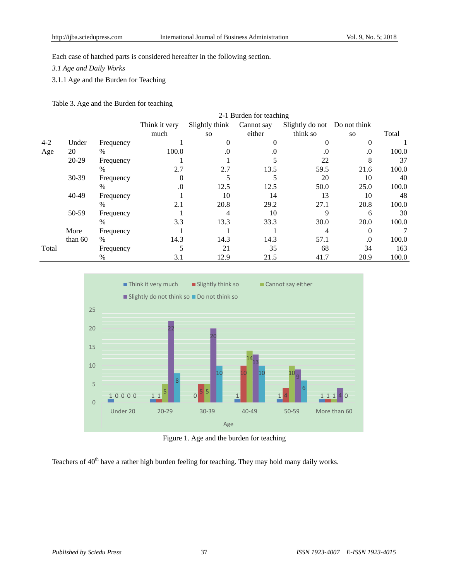Each case of hatched parts is considered hereafter in the following section.

*3.1 Age and Daily Works*

3.1.1 Age and the Burden for Teaching

#### Table 3. Age and the Burden for teaching

|         |         |           |               | 2-1 Burden for teaching |            |                              |            |       |  |  |
|---------|---------|-----------|---------------|-------------------------|------------|------------------------------|------------|-------|--|--|
|         |         |           | Think it very | Slightly think          | Cannot say | Slightly do not Do not think |            |       |  |  |
|         |         |           | much          | SO.                     | either     | think so                     | SO.        | Total |  |  |
| $4 - 2$ | Under   | Frequency |               | 0                       |            |                              | $\Omega$   |       |  |  |
| Age     | 20      | $\%$      | 100.0         | .0                      | .0         | .0                           | $\Omega$ . | 100.0 |  |  |
|         | 20-29   | Frequency |               |                         |            | 22                           | 8          | 37    |  |  |
|         |         | $\%$      | 2.7           | 2.7                     | 13.5       | 59.5                         | 21.6       | 100.0 |  |  |
|         | 30-39   | Frequency | $\Omega$      | 5                       |            | 20                           | 10         | 40    |  |  |
|         |         | $\%$      | $\Omega$ .    | 12.5                    | 12.5       | 50.0                         | 25.0       | 100.0 |  |  |
|         | 40-49   | Frequency |               | 10                      | 14         | 13                           | 10         | 48    |  |  |
|         |         | $\%$      | 2.1           | 20.8                    | 29.2       | 27.1                         | 20.8       | 100.0 |  |  |
|         | 50-59   | Frequency |               | 4                       | 10         | 9                            | 6          | 30    |  |  |
|         |         | $\%$      | 3.3           | 13.3                    | 33.3       | 30.0                         | 20.0       | 100.0 |  |  |
|         | More    | Frequency |               |                         |            | 4                            | 0          |       |  |  |
|         | than 60 | $\%$      | 14.3          | 14.3                    | 14.3       | 57.1                         | $\Omega$   | 100.0 |  |  |
| Total   |         | Frequency |               | 21                      | 35         | 68                           | 34         | 163   |  |  |
|         |         | $\%$      | 3.1           | 12.9                    | 21.5       | 41.7                         | 20.9       | 100.0 |  |  |



Figure 1. Age and the burden for teaching

Teachers of 40<sup>th</sup> have a rather high burden feeling for teaching. They may hold many daily works.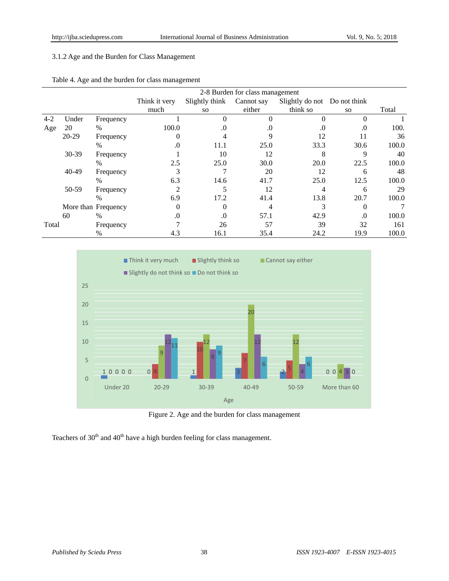### 3.1.2 Age and the Burden for Class Management

|  |  | Table 4. Age and the burden for class management |
|--|--|--------------------------------------------------|
|  |  |                                                  |

|         |       |                     |               | 2-8 Burden for class management |            |                              |      |       |  |
|---------|-------|---------------------|---------------|---------------------------------|------------|------------------------------|------|-------|--|
|         |       |                     | Think it very | Slightly think                  | Cannot say | Slightly do not Do not think |      |       |  |
|         |       |                     | much          | <b>SO</b>                       | either     | think so                     | SO.  | Total |  |
| $4 - 2$ | Under | Frequency           |               |                                 |            |                              | 0    |       |  |
| Age     | 20    | $\%$                | 100.0         | .0                              | .0         | .0                           | .0   | 100.  |  |
|         | 20-29 | Frequency           |               |                                 |            | 12                           | 11   | 36    |  |
|         |       | $\frac{0}{0}$       | .0            | 11.1                            | 25.0       | 33.3                         | 30.6 | 100.0 |  |
|         | 30-39 | Frequency           |               | 10                              | 12         | 8                            | 9    | 40    |  |
|         |       | $\frac{0}{0}$       | 2.5           | 25.0                            | 30.0       | 20.0                         | 22.5 | 100.0 |  |
|         | 40-49 | Frequency           |               |                                 | 20         | 12                           | 6    | 48    |  |
|         |       | $\%$                | 6.3           | 14.6                            | 41.7       | 25.0                         | 12.5 | 100.0 |  |
|         | 50-59 | Frequency           | 2             |                                 | 12         |                              | 6    | 29    |  |
|         |       | $\%$                | 6.9           | 17.2                            | 41.4       | 13.8                         | 20.7 | 100.0 |  |
|         |       | More than Frequency |               |                                 |            |                              |      |       |  |
|         | 60    | $\frac{0}{0}$       | .0            | .0                              | 57.1       | 42.9                         | .0   | 100.0 |  |
| Total   |       | Frequency           |               | 26                              | 57         | 39                           | 32   | 161   |  |
|         |       | $\%$                | 4.3           | 16.1                            | 35.4       | 24.2                         | 19.9 | 100.0 |  |



Figure 2. Age and the burden for class management

Teachers of  $30<sup>th</sup>$  and  $40<sup>th</sup>$  have a high burden feeling for class management.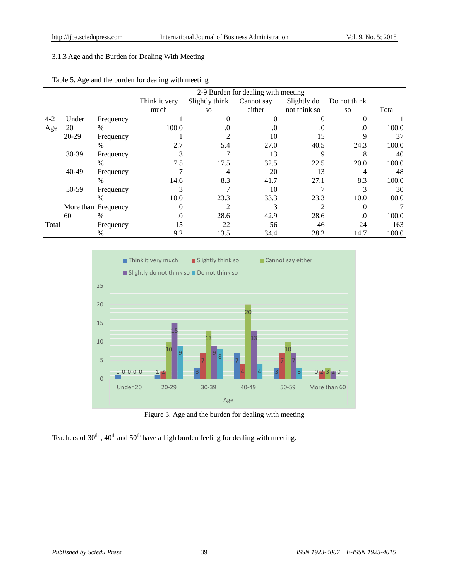### 3.1.3 Age and the Burden for Dealing With Meeting

|         |           |                     | 2-9 Burden for dealing with meeting |                |            |              |              |       |  |  |
|---------|-----------|---------------------|-------------------------------------|----------------|------------|--------------|--------------|-------|--|--|
|         |           |                     | Think it very                       | Slightly think | Cannot say | Slightly do  | Do not think |       |  |  |
|         |           |                     | much                                | <b>SO</b>      | either     | not think so | SO.          | Total |  |  |
| $4 - 2$ | Under     | Frequency           |                                     | 0              |            | 0            | 0            |       |  |  |
| Age     | 20        | $\%$                | 100.0                               | .0             | .0         | .0           | $\Omega$ .   | 100.0 |  |  |
|         | $20 - 29$ | Frequency           |                                     | 2              | 10         | 15           | 9            | 37    |  |  |
|         |           | $\%$                | 2.7                                 | 5.4            | 27.0       | 40.5         | 24.3         | 100.0 |  |  |
|         | 30-39     | Frequency           | 3                                   |                | 13         | 9            | 8            | 40    |  |  |
|         |           | $\%$                | 7.5                                 | 17.5           | 32.5       | 22.5         | 20.0         | 100.0 |  |  |
|         | $40 - 49$ | Frequency           |                                     |                | 20         | 13           | 4            | 48    |  |  |
|         |           | $\%$                | 14.6                                | 8.3            | 41.7       | 27.1         | 8.3          | 100.0 |  |  |
|         | 50-59     | Frequency           | 3                                   |                | 10         |              | 3            | 30    |  |  |
|         |           | $\frac{0}{0}$       | 10.0                                | 23.3           | 33.3       | 23.3         | 10.0         | 100.0 |  |  |
|         |           | More than Frequency | 0                                   | 2              |            |              | $\Omega$     |       |  |  |
|         | 60        | $\frac{0}{0}$       | $\cdot$                             | 28.6           | 42.9       | 28.6         | $\Omega$     | 100.0 |  |  |
| Total   |           | Frequency           | 15                                  | 22             | 56         | 46           | 24           | 163   |  |  |
|         |           | $\%$                | 9.2                                 | 13.5           | 34.4       | 28.2         | 14.7         | 100.0 |  |  |



Figure 3. Age and the burden for dealing with meeting

Teachers of  $30<sup>th</sup>$ ,  $40<sup>th</sup>$  and  $50<sup>th</sup>$  have a high burden feeling for dealing with meeting.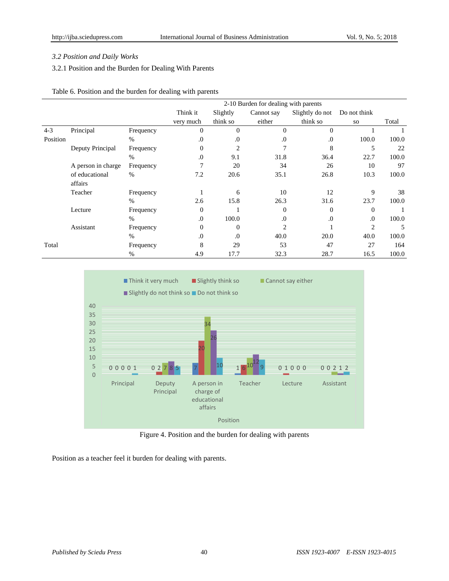### *3.2 Position and Daily Works*

### 3.2.1 Position and the Burden for Dealing With Parents

### Table 6. Position and the burden for dealing with parents

|          |                    |           | 2-10 Burden for dealing with parents |                |                |                 |                |       |  |
|----------|--------------------|-----------|--------------------------------------|----------------|----------------|-----------------|----------------|-------|--|
|          |                    |           | Think it                             | Slightly       | Cannot say     | Slightly do not | Do not think   |       |  |
|          |                    |           | very much                            | think so       | either         | think so        | SO.            | Total |  |
| $4 - 3$  | Principal          | Frequency | $\Omega$                             | 0              | $\Omega$       | $\Omega$        |                |       |  |
| Position |                    | $\%$      | $\cdot$                              | .0             | $\Omega$       | $\Omega$ .      | 100.0          | 100.0 |  |
|          | Deputy Principal   | Frequency | $\theta$                             | 2              | 7              | 8               | 5              | 22    |  |
|          |                    | $\%$      | .0                                   | 9.1            | 31.8           | 36.4            | 22.7           | 100.0 |  |
|          | A person in charge | Frequency | $\tau$                               | 20             | 34             | 26              | 10             | 97    |  |
|          | of educational     | $\%$      | 7.2                                  | 20.6           | 35.1           | 26.8            | 10.3           | 100.0 |  |
|          | affairs            |           |                                      |                |                |                 |                |       |  |
|          | Teacher            | Frequency |                                      | 6              | 10             | 12              | 9              | 38    |  |
|          |                    | $\%$      | 2.6                                  | 15.8           | 26.3           | 31.6            | 23.7           | 100.0 |  |
|          | Lecture            | Frequency | $\theta$                             |                | $\Omega$       | $\theta$        | $\Omega$       |       |  |
|          |                    | $\%$      | $\Omega$ .                           | 100.0          | $\Omega$       | $\Omega$ .      | $\Omega$ .     | 100.0 |  |
|          | Assistant          | Frequency | $\theta$                             | $\overline{0}$ | $\mathfrak{D}$ |                 | $\overline{2}$ | 5     |  |
|          |                    | $\%$      | .0                                   | $\Omega$ .     | 40.0           | 20.0            | 40.0           | 100.0 |  |
| Total    |                    | Frequency | 8                                    | 29             | 53             | 47              | 27             | 164   |  |
|          |                    | $\%$      | 4.9                                  | 17.7           | 32.3           | 28.7            | 16.5           | 100.0 |  |



Figure 4. Position and the burden for dealing with parents

Position as a teacher feel it burden for dealing with parents.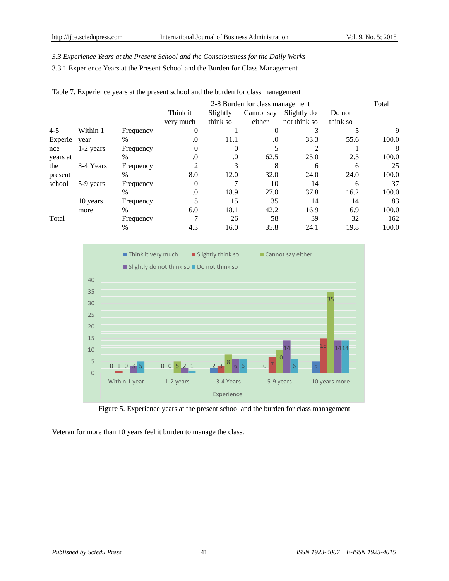## *3.3 Experience Years at the Present School and the Consciousness for the Daily Works*

3.3.1 Experience Years at the Present School and the Burden for Class Management

|          |           |               |           |          | 2-8 Burden for class management |              |          | Total |
|----------|-----------|---------------|-----------|----------|---------------------------------|--------------|----------|-------|
|          |           |               | Think it  | Slightly | Cannot say                      | Slightly do  | Do not   |       |
|          |           |               | very much | think so | either                          | not think so | think so |       |
| $4 - 5$  | Within 1  | Frequency     | 0         |          | $\Omega$                        | 3            |          | 9     |
| Experie  | year      | $\%$          | .0        | 11.1     | $\cdot 0$                       | 33.3         | 55.6     | 100.0 |
| nce      | 1-2 years | Frequency     | $\Omega$  | $\Omega$ | 5                               | 2            |          | 8     |
| years at |           | $\%$          | .0        | $\cdot$  | 62.5                            | 25.0         | 12.5     | 100.0 |
| the      | 3-4 Years | Frequency     | 2         | 3        | 8                               | 6            | 6        | 25    |
| present  |           | $\%$          | 8.0       | 12.0     | 32.0                            | 24.0         | 24.0     | 100.0 |
| school   | 5-9 years | Frequency     | $\Omega$  |          | 10                              | 14           | 6        | 37    |
|          |           | $\frac{0}{0}$ | .0        | 18.9     | 27.0                            | 37.8         | 16.2     | 100.0 |
|          | 10 years  | Frequency     | 5         | 15       | 35                              | 14           | 14       | 83    |
|          | more      | $\frac{0}{0}$ | 6.0       | 18.1     | 42.2                            | 16.9         | 16.9     | 100.0 |
| Total    |           | Frequency     |           | 26       | 58                              | 39           | 32       | 162   |
|          |           | $\%$          | 4.3       | 16.0     | 35.8                            | 24.1         | 19.8     | 100.0 |

Table 7. Experience years at the present school and the burden for class management



Figure 5. Experience years at the present school and the burden for class management

Veteran for more than 10 years feel it burden to manage the class.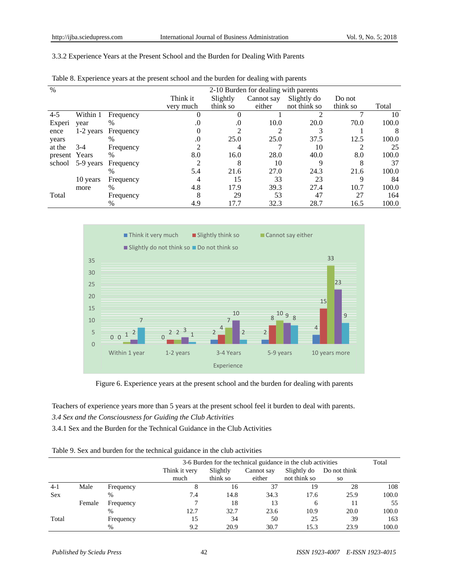## 3.3.2 Experience Years at the Present School and the Burden for Dealing With Parents

| $\%$          |                  |               |           |          | 2-10 Burden for dealing with parents |              |          |       |
|---------------|------------------|---------------|-----------|----------|--------------------------------------|--------------|----------|-------|
|               |                  |               | Think it  | Slightly | Cannot say                           | Slightly do  | Do not   |       |
|               |                  |               | very much | think so | either                               | not think so | think so | Total |
| $4 - 5$       | Within 1         | Frequency     |           |          |                                      |              |          | 10    |
| Experi        | year             | $\frac{0}{0}$ |           | .0       | 10.0                                 | 20.0         | 70.0     | 100.0 |
| ence          | 1-2 years        | Frequency     |           |          |                                      |              |          |       |
| years         |                  | $\%$          | .0        | 25.0     | 25.0                                 | 37.5         | 12.5     | 100.0 |
| at the        | $3-4$            | Frequency     |           | 4        |                                      | 10           | 2        | 25    |
| present Years |                  | $\%$          | 8.0       | 16.0     | 28.0                                 | 40.0         | 8.0      | 100.0 |
|               | school 5-9 years | Frequency     |           | 8        | 10                                   | q            | 8        | 37    |
|               |                  | $\frac{0}{0}$ | 5.4       | 21.6     | 27.0                                 | 24.3         | 21.6     | 100.0 |
|               | 10 years         | Frequency     |           | 15       | 33                                   | 23           | 9        | 84    |
|               | more             | $\frac{0}{0}$ | 4.8       | 17.9     | 39.3                                 | 27.4         | 10.7     | 100.0 |
| Total         |                  | Frequency     | 8         | 29       | 53                                   | 47           | 27       | 164   |
|               |                  | $\%$          | 4.9       | 17.7     | 32.3                                 | 28.7         | 16.5     | 100.0 |



Figure 6. Experience years at the present school and the burden for dealing with parents

Teachers of experience years more than 5 years at the present school feel it burden to deal with parents.

*3.4 Sex and the Consciousness for Guiding the Club Activities*

3.4.1 Sex and the Burden for the Technical Guidance in the Club Activities

|  |  | Table 9. Sex and burden for the technical guidance in the club activities |  |  |
|--|--|---------------------------------------------------------------------------|--|--|
|  |  |                                                                           |  |  |

|            |        |           |               | 3-6 Burden for the technical guidance in the club activities |                                           |              |           |       |  |  |  |
|------------|--------|-----------|---------------|--------------------------------------------------------------|-------------------------------------------|--------------|-----------|-------|--|--|--|
|            |        |           | Think it very | Slightly                                                     | Slightly do<br>Do not think<br>Cannot say |              |           |       |  |  |  |
|            |        |           | much          | think so                                                     | either                                    | not think so | <b>SO</b> |       |  |  |  |
| $4-1$      | Male   | Frequency | 8             | 16                                                           | 37                                        | 19           | 28        | 108   |  |  |  |
| <b>Sex</b> |        | $\%$      | 7.4           | 14.8                                                         | 34.3                                      | 17.6         | 25.9      | 100.0 |  |  |  |
|            | Female | Frequency |               | 18                                                           | 13                                        | 6            |           | 55    |  |  |  |
|            |        | $\%$      | 12.7          | 32.7                                                         | 23.6                                      | 10.9         | 20.0      | 100.0 |  |  |  |
| Total      |        | Frequency | 15            | 34                                                           | 50                                        | 25           | 39        | 163   |  |  |  |
|            |        | %         | 9.2           | 20.9                                                         | 30.7                                      | 15.3         | 23.9      | 100.0 |  |  |  |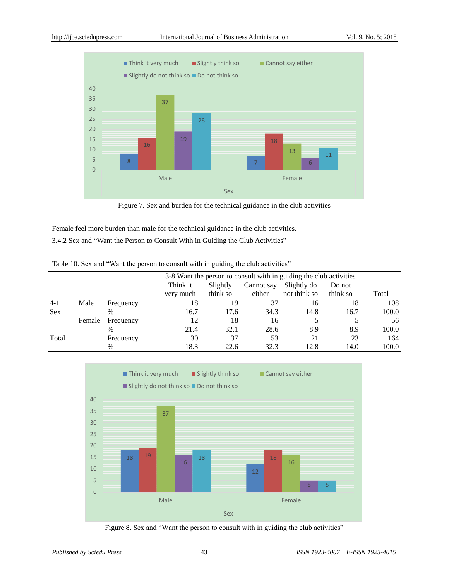

Figure 7. Sex and burden for the technical guidance in the club activities

Female feel more burden than male for the technical guidance in the club activities. 3.4.2 Sex and "Want the Person to Consult With in Guiding the Club Activities"

| Table 10. Sex and "Want the person to consult with in guiding the club activities" |  |  |  |  |  |
|------------------------------------------------------------------------------------|--|--|--|--|--|
|                                                                                    |  |  |  |  |  |

|       |        |           |           | 3-8 Want the person to consult with in guiding the club activities |            |              |          |       |  |  |  |  |
|-------|--------|-----------|-----------|--------------------------------------------------------------------|------------|--------------|----------|-------|--|--|--|--|
|       |        |           | Think it  | Slightly                                                           | Cannot say | Slightly do  | Do not   |       |  |  |  |  |
|       |        |           | very much | think so                                                           | either     | not think so | think so | Total |  |  |  |  |
| $4-1$ | Male   | Frequency | 18        | 19                                                                 | 37         | 16           | 18       | 108   |  |  |  |  |
| Sex   |        | $\%$      | 16.7      | 17.6                                                               | 34.3       | 14.8         | 16.7     | 100.0 |  |  |  |  |
|       | Female | Frequency | 12        | 18                                                                 | 16         |              |          | 56    |  |  |  |  |
|       |        | $\%$      | 21.4      | 32.1                                                               | 28.6       | 8.9          | 8.9      | 100.0 |  |  |  |  |
| Total |        | Frequency | 30        | 37                                                                 | 53         | 21           | 23       | 164   |  |  |  |  |
|       |        | $\%$      | 18.3      | 22.6                                                               | 32.3       | 12.8         | 14.0     | 100.0 |  |  |  |  |



Figure 8. Sex and "Want the person to consult with in guiding the club activities"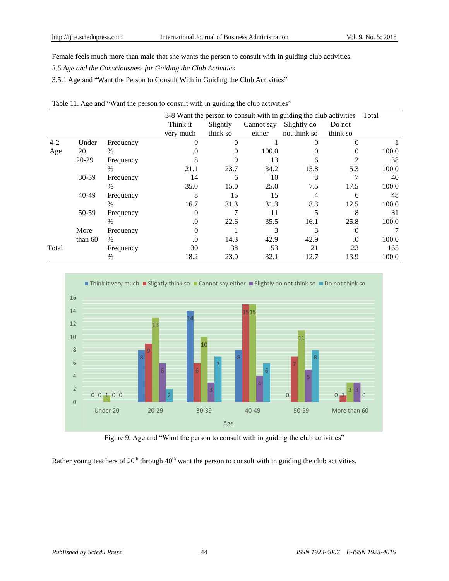Female feels much more than male that she wants the person to consult with in guiding club activities.

*3.5 Age and the Consciousness for Guiding the Club Activities*

3.5.1 Age and "Want the Person to Consult With in Guiding the Club Activities"

|         |           |               |           | 3-8 Want the person to consult with in guiding the club activities |            |              |          |       |  |
|---------|-----------|---------------|-----------|--------------------------------------------------------------------|------------|--------------|----------|-------|--|
|         |           |               | Think it  | Slightly                                                           | Cannot say | Slightly do  | Do not   |       |  |
|         |           |               | very much | think so                                                           | either     | not think so | think so |       |  |
| $4 - 2$ | Under     | Frequency     |           |                                                                    |            |              |          |       |  |
| Age     | 20        | $\%$          | .0        | .0                                                                 | 100.0      | .0           | .0       | 100.0 |  |
|         | 20-29     | Frequency     | 8         | 9                                                                  | 13         | 6            |          | 38    |  |
|         |           | $\%$          | 21.1      | 23.7                                                               | 34.2       | 15.8         | 5.3      | 100.0 |  |
|         | 30-39     | Frequency     | 14        | 6                                                                  | 10         |              |          | 40    |  |
|         |           | $\frac{0}{0}$ | 35.0      | 15.0                                                               | 25.0       | 7.5          | 17.5     | 100.0 |  |
|         | 40-49     | Frequency     | 8         | 15                                                                 | 15         | 4            | 6        | 48    |  |
|         |           | $\%$          | 16.7      | 31.3                                                               | 31.3       | 8.3          | 12.5     | 100.0 |  |
|         | 50-59     | Frequency     | 0         |                                                                    | 11         | 5            | 8        | 31    |  |
|         |           | $\%$          | .0        | 22.6                                                               | 35.5       | 16.1         | 25.8     | 100.0 |  |
|         | More      | Frequency     | $\Omega$  |                                                                    | 3          | 3            | 0        |       |  |
|         | than $60$ | $\%$          | $\Omega$  | 14.3                                                               | 42.9       | 42.9         | $\Omega$ | 100.0 |  |
| Total   |           | Frequency     | 30        | 38                                                                 | 53         | 21           | 23       | 165   |  |
|         |           | $\%$          | 18.2      | 23.0                                                               | 32.1       | 12.7         | 13.9     | 100.0 |  |



Figure 9. Age and "Want the person to consult with in guiding the club activities"

Rather young teachers of  $20<sup>th</sup>$  through  $40<sup>th</sup>$  want the person to consult with in guiding the club activities.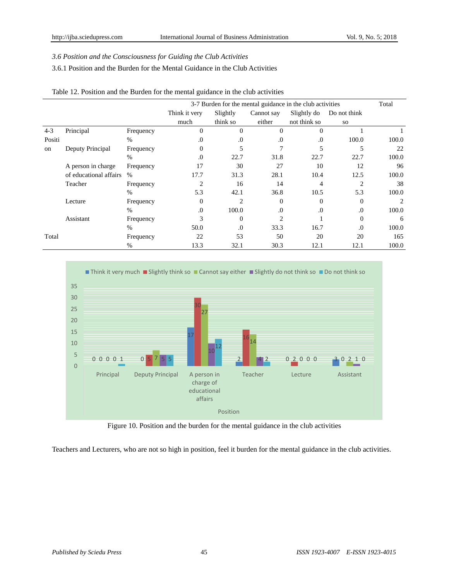### *3.6 Position and the Consciousness for Guiding the Club Activities*

3.6.1 Position and the Burden for the Mental Guidance in the Club Activities

|         |                        |           |                |                | 3-7 Burden for the mental guidance in the club activities |              |                | Total |
|---------|------------------------|-----------|----------------|----------------|-----------------------------------------------------------|--------------|----------------|-------|
|         |                        |           | Think it very  | Slightly       | Cannot say                                                | Slightly do  | Do not think   |       |
|         |                        |           | much           | think so       | either                                                    | not think so | <b>SO</b>      |       |
| $4 - 3$ | Principal              | Frequency | $\Omega$       | $\Omega$       | $\Omega$                                                  | $\Omega$     |                |       |
| Positi  |                        | $\%$      | .0             | .0             | .0                                                        | .0           | 100.0          | 100.0 |
| on      | Deputy Principal       | Frequency | $\Omega$       | 5              | 7                                                         | 5            | 5              | 22    |
|         |                        | $\%$      | .0             | 22.7           | 31.8                                                      | 22.7         | 22.7           | 100.0 |
|         | A person in charge     | Frequency | 17             | 30             | 27                                                        | 10           | 12             | 96    |
|         | of educational affairs | $\%$      | 17.7           | 31.3           | 28.1                                                      | 10.4         | 12.5           | 100.0 |
|         | Teacher                | Frequency | $\overline{c}$ | 16             | 14                                                        | 4            | $\mathfrak{D}$ | 38    |
|         |                        | $\%$      | 5.3            | 42.1           | 36.8                                                      | 10.5         | 5.3            | 100.0 |
|         | Lecture                | Frequency | $\theta$       | $\overline{c}$ | $\Omega$                                                  | $\Omega$     | $\Omega$       | 2     |
|         |                        | $\%$      | .0             | 100.0          | $\Omega$ .                                                | .0           | $\Omega$ .     | 100.0 |
|         | Assistant              | Frequency | 3              | $\Omega$       | 2                                                         |              | $\Omega$       | 6     |
|         |                        | $\%$      | 50.0           | .0             | 33.3                                                      | 16.7         | .0             | 100.0 |
| Total   |                        | Frequency | 22             | 53             | 50                                                        | 20           | 20             | 165   |
|         |                        | %         | 13.3           | 32.1           | 30.3                                                      | 12.1         | 12.1           | 100.0 |

Table 12. Position and the Burden for the mental guidance in the club activities



Figure 10. Position and the burden for the mental guidance in the club activities

Teachers and Lecturers, who are not so high in position, feel it burden for the mental guidance in the club activities.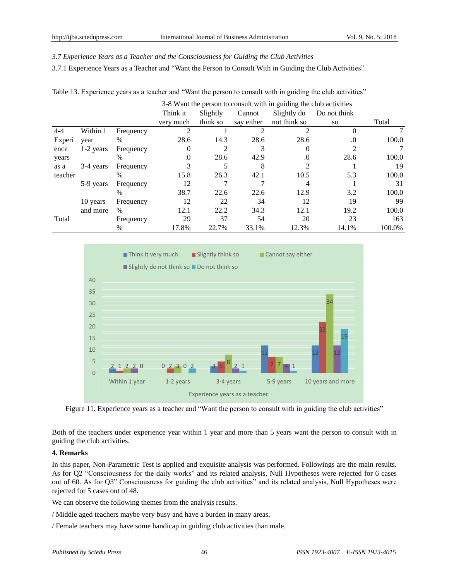### *3.7 Experience Years as a Teacher and the Consciousness for Guiding the Club Activities*

3.7.1 Experience Years as a Teacher and "Want the Person to Consult With in Guiding the Club Activities"

|         |             |               |                |                |                | 3-8 Want the person to consult with in guiding the club activities |                |        |
|---------|-------------|---------------|----------------|----------------|----------------|--------------------------------------------------------------------|----------------|--------|
|         |             |               | Think it       | Slightly       | Cannot         | Slightly do                                                        | Do not think   |        |
|         |             |               | very much      | think so       | say either     | not think so                                                       | SO.            | Total  |
| $4 - 4$ | Within 1    | Frequency     | $\overline{2}$ |                | $\overline{2}$ | 2                                                                  | $\theta$       |        |
| Experi  | year        | %             | 28.6           | 14.3           | 28.6           | 28.6                                                               | .0             | 100.0  |
| ence    | $1-2$ years | Frequency     | 0              | $\overline{2}$ | 3              | 0                                                                  | $\mathfrak{D}$ |        |
| years   |             | $\frac{0}{0}$ | .0             | 28.6           | 42.9           | $\cdot$                                                            | 28.6           | 100.0  |
| as a    | 3-4 years   | Frequency     | 3              | 5              | 8              | $\mathfrak{D}$                                                     |                | 19     |
| teacher |             | $\frac{0}{0}$ | 15.8           | 26.3           | 42.1           | 10.5                                                               | 5.3            | 100.0  |
|         | 5-9 years   | Frequency     | 12             |                | 7              | 4                                                                  |                | 31     |
|         |             | $\frac{0}{0}$ | 38.7           | 22.6           | 22.6           | 12.9                                                               | 3.2            | 100.0  |
|         | 10 years    | Frequency     | 12             | 22             | 34             | 12                                                                 | 19             | 99     |
|         | and more    | $\frac{0}{0}$ | 12.1           | 22.2           | 34.3           | 12.1                                                               | 19.2           | 100.0  |
| Total   |             | Frequency     | 29             | 37             | 54             | 20                                                                 | 23             | 163    |
|         |             | $\%$          | 17.8%          | 22.7%          | 33.1%          | 12.3%                                                              | 14.1%          | 100.0% |





Figure 11. Experience years as a teacher and "Want the person to consult with in guiding the club activities"

Both of the teachers under experience year within 1 year and more than 5 years want the person to consult with in guiding the club activities.

#### **4. Remarks**

In this paper, Non-Parametric Test is applied and exquisite analysis was performed. Followings are the main results. As for Q2 "Consciousness for the daily works" and its related analysis, Null Hypotheses were rejected for 6 cases out of 60. As for Q3" Consciousness for guiding the club activities" and its related analysis, Null Hypotheses were rejected for 5 cases out of 48.

We can observe the following themes from the analysis results.

- / Middle aged teachers maybe very busy and have a burden in many areas.
- / Female teachers may have some handicap in guiding club activities than male.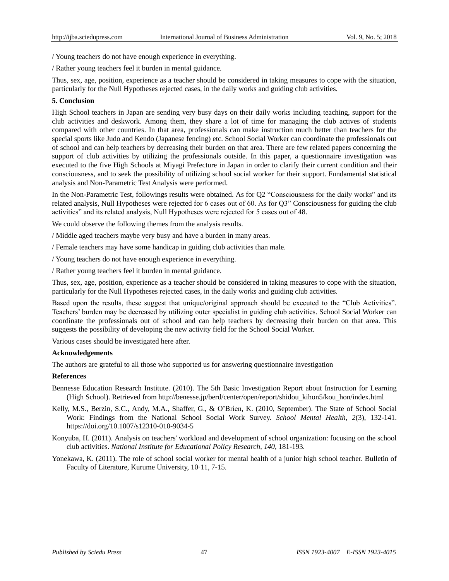/ Young teachers do not have enough experience in everything.

/ Rather young teachers feel it burden in mental guidance.

Thus, sex, age, position, experience as a teacher should be considered in taking measures to cope with the situation, particularly for the Null Hypotheses rejected cases, in the daily works and guiding club activities.

### **5. Conclusion**

High School teachers in Japan are sending very busy days on their daily works including teaching, support for the club activities and deskwork. Among them, they share a lot of time for managing the club actives of students compared with other countries. In that area, professionals can make instruction much better than teachers for the special sports like Judo and Kendo (Japanese fencing) etc. School Social Worker can coordinate the professionals out of school and can help teachers by decreasing their burden on that area. There are few related papers concerning the support of club activities by utilizing the professionals outside. In this paper, a questionnaire investigation was executed to the five High Schools at Miyagi Prefecture in Japan in order to clarify their current condition and their consciousness, and to seek the possibility of utilizing school social worker for their support. Fundamental statistical analysis and Non-Parametric Test Analysis were performed.

In the Non-Parametric Test, followings results were obtained. As for Q2 "Consciousness for the daily works" and its related analysis, Null Hypotheses were rejected for 6 cases out of 60. As for Q3" Consciousness for guiding the club activities" and its related analysis, Null Hypotheses were rejected for 5 cases out of 48.

We could observe the following themes from the analysis results.

/ Middle aged teachers maybe very busy and have a burden in many areas.

/ Female teachers may have some handicap in guiding club activities than male.

/ Young teachers do not have enough experience in everything.

/ Rather young teachers feel it burden in mental guidance.

Thus, sex, age, position, experience as a teacher should be considered in taking measures to cope with the situation, particularly for the Null Hypotheses rejected cases, in the daily works and guiding club activities.

Based upon the results, these suggest that unique/original approach should be executed to the "Club Activities". Teachers' burden may be decreased by utilizing outer specialist in guiding club activities. School Social Worker can coordinate the professionals out of school and can help teachers by decreasing their burden on that area. This suggests the possibility of developing the new activity field for the School Social Worker.

Various cases should be investigated here after.

#### **Acknowledgements**

The authors are grateful to all those who supported us for answering questionnaire investigation

### **References**

- Bennesse Education Research Institute. (2010). The 5th Basic Investigation Report about Instruction for Learning (High School). Retrieved from http://benesse.jp/berd/center/open/report/shidou\_kihon5/kou\_hon/index.html
- Kelly, M.S., Berzin, S.C., Andy, M.A., Shaffer, G., & O'Brien, K. (2010, September). The State of School Social Work: Findings from the National School Social Work Survey. *School Mental Health, 2*(3), 132-141. https://doi.org/10.1007/s12310-010-9034-5
- Konyuba, H. (2011). Analysis on teachers' workload and development of school organization: focusing on the school club activities. *National Institute for Educational Policy Research, 140*, 181-193.
- Yonekawa, K. (2011). The role of school social worker for mental health of a junior high school teacher. Bulletin of Faculty of Literature, Kurume University, 10·11, 7-15.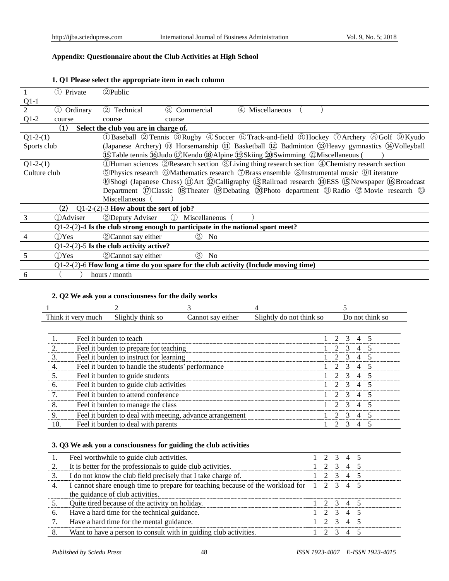### **Appendix: Questionnaire about the Club Activities at High School**

#### 1 Q1-1 ① Private ②Public 2 Q1-2 ① Ordinary course ② Technical course ③ Commercial course ④ Miscellaneous ( ) (**1**) **Select the club you are in charge of.**  $Q1 - 2 - (1)$ Sports club ①Baseball ②Tennis ③Rugby ④Soccer ⑤Track-and-field ⑥Hockey ⑦Archery ⑧Golf ⑨Kyudo (Japanese Archery) ⑩ Horsemanship ⑪ Basketball ⑫ Badminton ⑬Heavy gymnastics ⑭Volleyball ⑮Table tennis ⑯Judo ⑰Kendo ⑱Alpine ⑲Skiing ⑳Swimming ㉑Miscellaneous ( )  $Q1-2-(1)$ Culture club ①Human sciences ②Research section ③Living thing research section ④Chemistry research section ⑤Physics research ⑥Mathematics research ⑦Brass ensemble ⑧Instrumental music ⑨Literature ⑩Shogi (Japanese Chess) ⑪Art ⑫Calligraphy ⑬Railroad research ⑭ESS ⑮Newspaper ⑯Broadcast Department (17)Classic (18)Theater (19)Debating @Photo department @ Radio @ Movie research @ Miscellaneous ( (**2**) Q1-2-(2)-3 **How about the sort of job?** 3 ①Adviser ②Deputy Adviser ① Miscellaneous Q1-2-(2)-4 **Is the club strong enough to participate in the national sport meet?** 4 ①Yes ②Cannot say either ② No Q1-2-(2)-5 **Is the club activity active?** 5 ①Yes ②Cannot say either ③ No Q1-2-(2)-6 **How long a time do you spare for the club activity (Include moving time)** 6 ( ) hours / month

### **1. Q1 Please select the appropriate item in each column**

### **2. Q2 We ask you a consciousness for the daily works**

| Think.<br>much<br>very | il10 htt<br>nk so | `annot-<br>either<br>say | think so<br>11 <sub>0</sub> h<br>d٢<br>not | not<br>think so<br>. )ല |
|------------------------|-------------------|--------------------------|--------------------------------------------|-------------------------|

|    | Feel it burden to teach                                  |                                     |               |  |
|----|----------------------------------------------------------|-------------------------------------|---------------|--|
|    | Feel it burden to prepare for teaching                   | 1 2 3 4 5                           |               |  |
|    | Feel it burden to instruct for learning                  |                                     |               |  |
| 4. | Feel it burden to handle the students' performance       | 1 2 3 4 5                           |               |  |
|    | Feel it burden to guide students                         |                                     | $\mathcal{A}$ |  |
| 6  | Feel it burden to guide club activities                  | 1 2 3 4 5                           |               |  |
|    | Feel it burden to attend conference                      | $1 \quad 2 \quad 3 \quad 4 \quad 5$ |               |  |
| 8. | Feel it burden to manage the class                       | 1 2 3 4 5                           |               |  |
| -9 | Feel it burden to deal with meeting, advance arrangement |                                     |               |  |
|    | Feel it burden to deal with parents                      |                                     |               |  |

#### **3. Q3 We ask you a consciousness for guiding the club activities**

|    | 1. Feel worthwhile to guide club activities.                                                | 1 2 3 4 5           |   |     |  |
|----|---------------------------------------------------------------------------------------------|---------------------|---|-----|--|
| 2. | It is better for the professionals to guide club activities.                                |                     | 3 | 4 5 |  |
|    | 3. I do not know the club field precisely that I take charge of.                            | 2 3                 |   | 4 5 |  |
|    | 4. I cannot share enough time to prepare for teaching because of the workload for 1 2 3 4 5 |                     |   |     |  |
|    | the guidance of club activities.                                                            |                     |   |     |  |
|    | 5. Quite tired because of the activity on holiday.                                          | $1 \t2 \t3 \t4 \t5$ |   |     |  |
| 6. | Have a hard time for the technical guidance.                                                | 1 2 3 4 5           |   |     |  |
| 7. | Have a hard time for the mental guidance.                                                   | 2 3 4 5             |   |     |  |
| 8. | Want to have a person to consult with in guiding club activities.                           |                     |   |     |  |